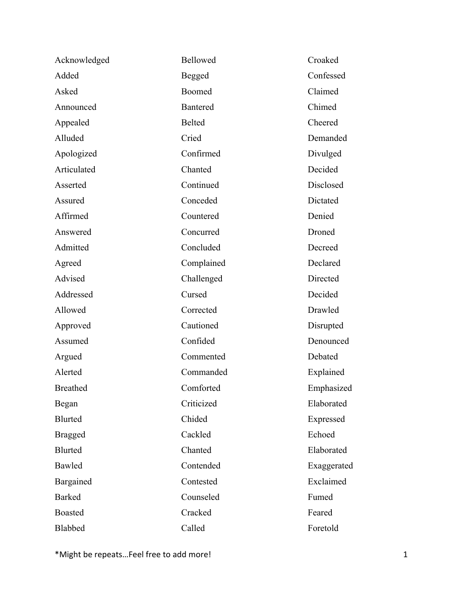| Acknowledged    | Bellowed        | Croaked     |
|-----------------|-----------------|-------------|
| Added           | Begged          | Confessed   |
| Asked           | Boomed          | Claimed     |
| Announced       | <b>Bantered</b> | Chimed      |
| Appealed        | Belted          | Cheered     |
| Alluded         | Cried           | Demanded    |
| Apologized      | Confirmed       | Divulged    |
| Articulated     | Chanted         | Decided     |
| Asserted        | Continued       | Disclosed   |
| Assured         | Conceded        | Dictated    |
| Affirmed        | Countered       | Denied      |
| Answered        | Concurred       | Droned      |
| Admitted        | Concluded       | Decreed     |
| Agreed          | Complained      | Declared    |
| Advised         | Challenged      | Directed    |
| Addressed       | Cursed          | Decided     |
| Allowed         | Corrected       | Drawled     |
| Approved        | Cautioned       | Disrupted   |
| Assumed         | Confided        | Denounced   |
| Argued          | Commented       | Debated     |
| Alerted         | Commanded       | Explained   |
| <b>Breathed</b> | Comforted       | Emphasized  |
| Began           | Criticized      | Elaborated  |
| <b>Blurted</b>  | Chided          | Expressed   |
| <b>Bragged</b>  | Cackled         | Echoed      |
| <b>Blurted</b>  | Chanted         | Elaborated  |
| Bawled          | Contended       | Exaggerated |
| Bargained       | Contested       | Exclaimed   |
| <b>Barked</b>   | Counseled       | Fumed       |
| <b>Boasted</b>  | Cracked         | Feared      |
| Blabbed         | Called          | Foretold    |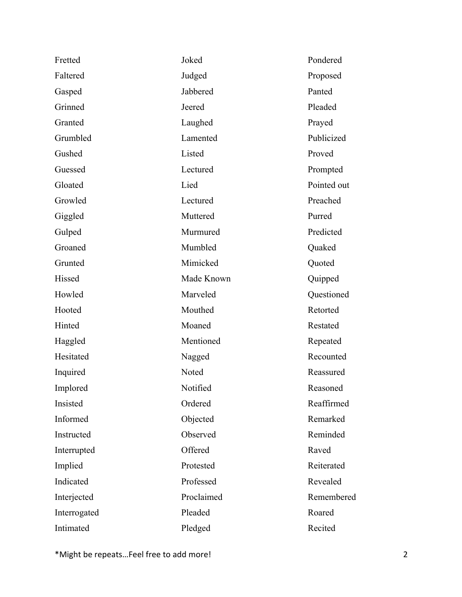| Fretted      | Joked      | Pondered    |
|--------------|------------|-------------|
| Faltered     | Judged     | Proposed    |
| Gasped       | Jabbered   | Panted      |
| Grinned      | Jeered     | Pleaded     |
| Granted      | Laughed    | Prayed      |
| Grumbled     | Lamented   | Publicized  |
| Gushed       | Listed     | Proved      |
| Guessed      | Lectured   | Prompted    |
| Gloated      | Lied       | Pointed out |
| Growled      | Lectured   | Preached    |
| Giggled      | Muttered   | Purred      |
| Gulped       | Murmured   | Predicted   |
| Groaned      | Mumbled    | Quaked      |
| Grunted      | Mimicked   | Quoted      |
| Hissed       | Made Known | Quipped     |
| Howled       | Marveled   | Questioned  |
| Hooted       | Mouthed    | Retorted    |
| Hinted       | Moaned     | Restated    |
| Haggled      | Mentioned  | Repeated    |
| Hesitated    | Nagged     | Recounted   |
| Inquired     | Noted      | Reassured   |
| Implored     | Notified   | Reasoned    |
| Insisted     | Ordered    | Reaffirmed  |
| Informed     | Objected   | Remarked    |
| Instructed   | Observed   | Reminded    |
| Interrupted  | Offered    | Raved       |
| Implied      | Protested  | Reiterated  |
| Indicated    | Professed  | Revealed    |
| Interjected  | Proclaimed | Remembered  |
| Interrogated | Pleaded    | Roared      |
| Intimated    | Pledged    | Recited     |